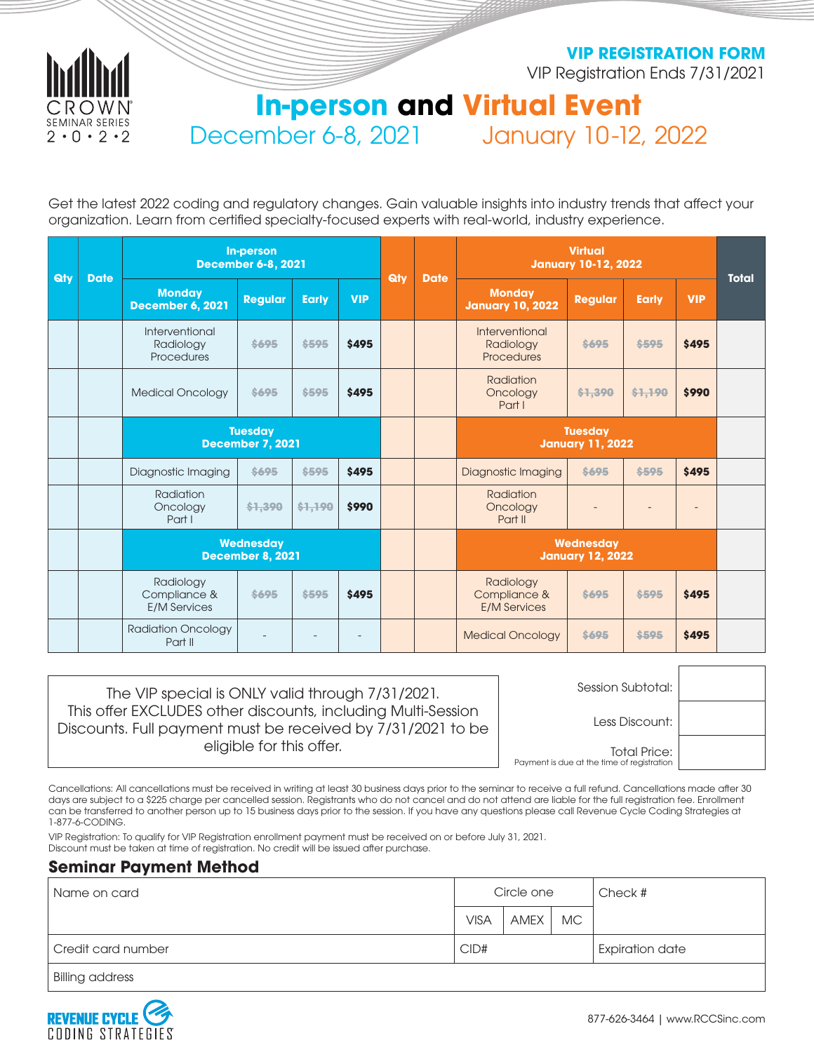

**VIP REGISTRATION FORM**

VIP Registration Ends 7/31/2021

# **In-person and Virtual Event** December 6-8, 2021 January 10-12, 2022

Get the latest 2022 coding and regulatory changes. Gain valuable insights into industry trends that affect your organization. Learn from certified specialty-focused experts with real-world, industry experience.

| <b>Qty</b> | <b>Date</b> | <b>In-person</b><br><b>December 6-8, 2021</b>    |                |              | <b>Qty</b> | <b>Date</b> | <b>Virtual</b><br><b>January 10-12, 2022</b> |                                                  |                |              | <b>Total</b> |  |
|------------|-------------|--------------------------------------------------|----------------|--------------|------------|-------------|----------------------------------------------|--------------------------------------------------|----------------|--------------|--------------|--|
|            |             | <b>Monday</b><br><b>December 6, 2021</b>         | <b>Regular</b> | <b>Early</b> | <b>VIP</b> |             |                                              | <b>Monday</b><br><b>January 10, 2022</b>         | <b>Regular</b> | <b>Early</b> | <b>VIP</b>   |  |
|            |             | Interventional<br>Radiology<br>Procedures        | \$695          | \$595        | \$495      |             |                                              | Interventional<br>Radiology<br><b>Procedures</b> | \$695          | \$595        | <b>\$495</b> |  |
|            |             | <b>Medical Oncology</b>                          | \$695          | \$595        | \$495      |             |                                              | <b>Radiation</b><br>Oncology<br>Part I           | \$1,390        | \$1,190      | \$990        |  |
|            |             | <b>Tuesday</b><br><b>December 7, 2021</b>        |                |              |            |             | <b>Tuesday</b><br><b>January 11, 2022</b>    |                                                  |                |              |              |  |
|            |             | Diagnostic Imaging                               | \$695          | \$595        | \$495      |             |                                              | <b>Diagnostic Imaging</b>                        | \$695          | \$595        | \$495        |  |
|            |             | Radiation<br>Oncology<br>Part I                  | \$1,390        | \$1,190      | \$990      |             |                                              | Radiation<br>Oncology<br>Part II                 |                |              |              |  |
|            |             | <b>Wednesday</b><br><b>December 8, 2021</b>      |                |              |            |             |                                              | Wednesday<br><b>January 12, 2022</b>             |                |              |              |  |
|            |             | Radiology<br>Compliance &<br><b>E/M Services</b> | \$695          | \$595        | \$495      |             |                                              | Radiology<br>Compliance &<br><b>E/M Services</b> | \$695          | \$595        | <b>\$495</b> |  |
|            |             | <b>Radiation Oncology</b><br>Part II             |                |              |            |             |                                              | <b>Medical Oncology</b>                          | \$695          | \$595        | \$495        |  |

| The VIP special is ONLY valid through 7/31/2021.<br>This offer EXCLUDES other discounts, including Multi-Session<br>Discounts. Full payment must be received by 7/31/2021 to be<br>eligible for this offer. | Session Subtotal:                                                 |  |
|-------------------------------------------------------------------------------------------------------------------------------------------------------------------------------------------------------------|-------------------------------------------------------------------|--|
|                                                                                                                                                                                                             | Less Discount:                                                    |  |
|                                                                                                                                                                                                             | <b>Total Price:</b><br>Payment is due at the time of registration |  |

Cancellations: All cancellations must be received in writing at least 30 business days prior to the seminar to receive a full refund. Cancellations made after 30 days are subject to a \$225 charge per cancelled session. Registrants who do not cancel and do not attend are liable for the full registration fee. Enrollment can be transferred to another person up to 15 business days prior to the session. If you have any questions please call Revenue Cycle Coding Strategies at 1-877-6-CODING.

VIP Registration: To qualify for VIP Registration enrollment payment must be received on or before July 31, 2021. Discount must be taken at time of registration. No credit will be issued after purchase.

# **Seminar Payment Method**

| Name on card               |             | Circle one |           | Check #                |
|----------------------------|-------------|------------|-----------|------------------------|
|                            | <b>VISA</b> | AMEX       | <b>MC</b> |                        |
| CID#<br>Credit card number |             |            |           | <b>Expiration date</b> |
| <b>Billing address</b>     |             |            |           |                        |